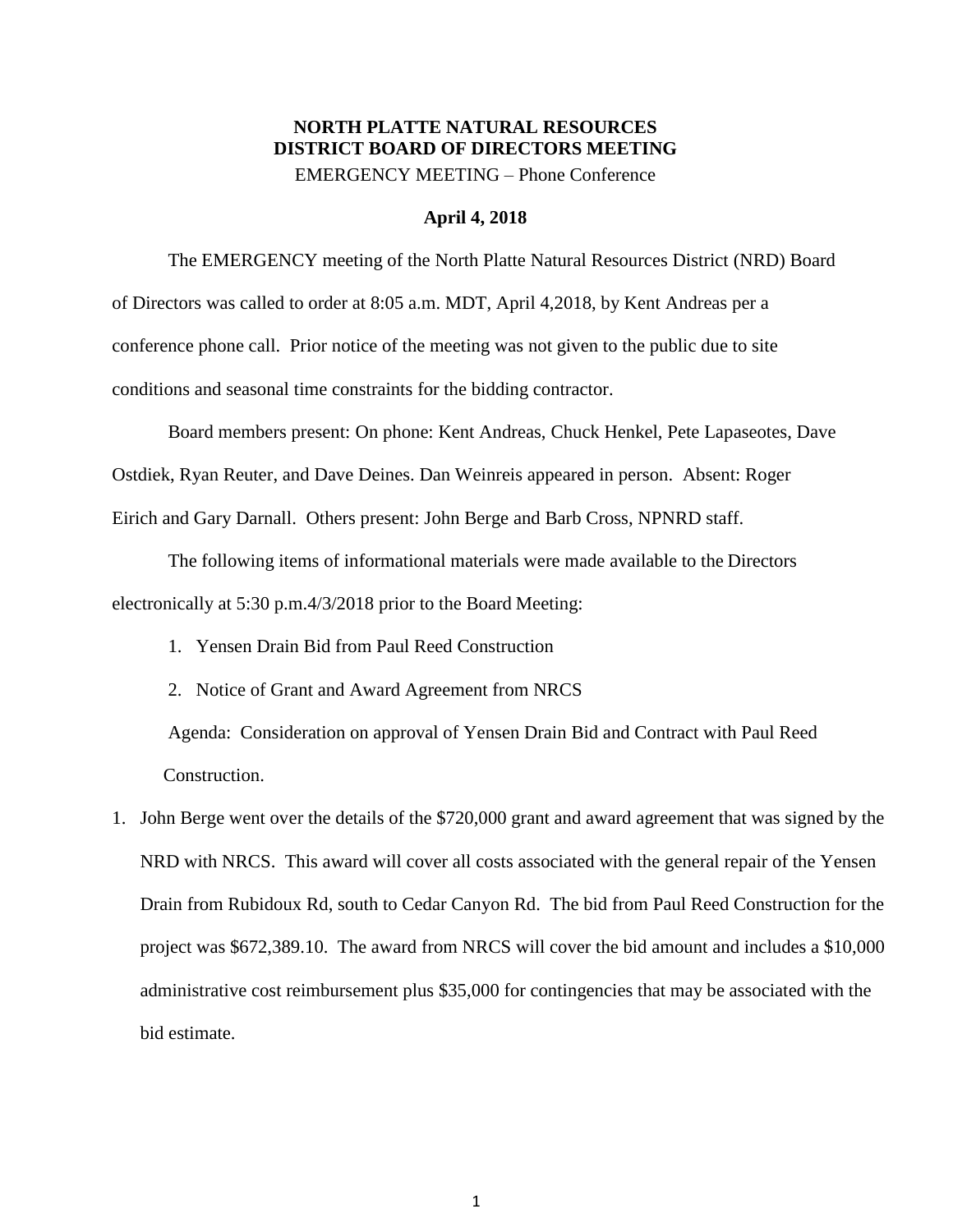## **NORTH PLATTE NATURAL RESOURCES DISTRICT BOARD OF DIRECTORS MEETING**

EMERGENCY MEETING – Phone Conference

## **April 4, 2018**

The EMERGENCY meeting of the North Platte Natural Resources District (NRD) Board of Directors was called to order at 8:05 a.m. MDT, April 4,2018, by Kent Andreas per a conference phone call. Prior notice of the meeting was not given to the public due to site conditions and seasonal time constraints for the bidding contractor.

Board members present: On phone: Kent Andreas, Chuck Henkel, Pete Lapaseotes, Dave Ostdiek, Ryan Reuter, and Dave Deines. Dan Weinreis appeared in person. Absent: Roger Eirich and Gary Darnall. Others present: John Berge and Barb Cross, NPNRD staff.

The following items of informational materials were made available to the Directors electronically at 5:30 p.m.4/3/2018 prior to the Board Meeting:

- 1. Yensen Drain Bid from Paul Reed Construction
- 2. Notice of Grant and Award Agreement from NRCS Agenda: Consideration on approval of Yensen Drain Bid and Contract with Paul Reed Construction.
- 1. John Berge went over the details of the \$720,000 grant and award agreement that was signed by the NRD with NRCS. This award will cover all costs associated with the general repair of the Yensen Drain from Rubidoux Rd, south to Cedar Canyon Rd. The bid from Paul Reed Construction for the project was \$672,389.10. The award from NRCS will cover the bid amount and includes a \$10,000 administrative cost reimbursement plus \$35,000 for contingencies that may be associated with the bid estimate.